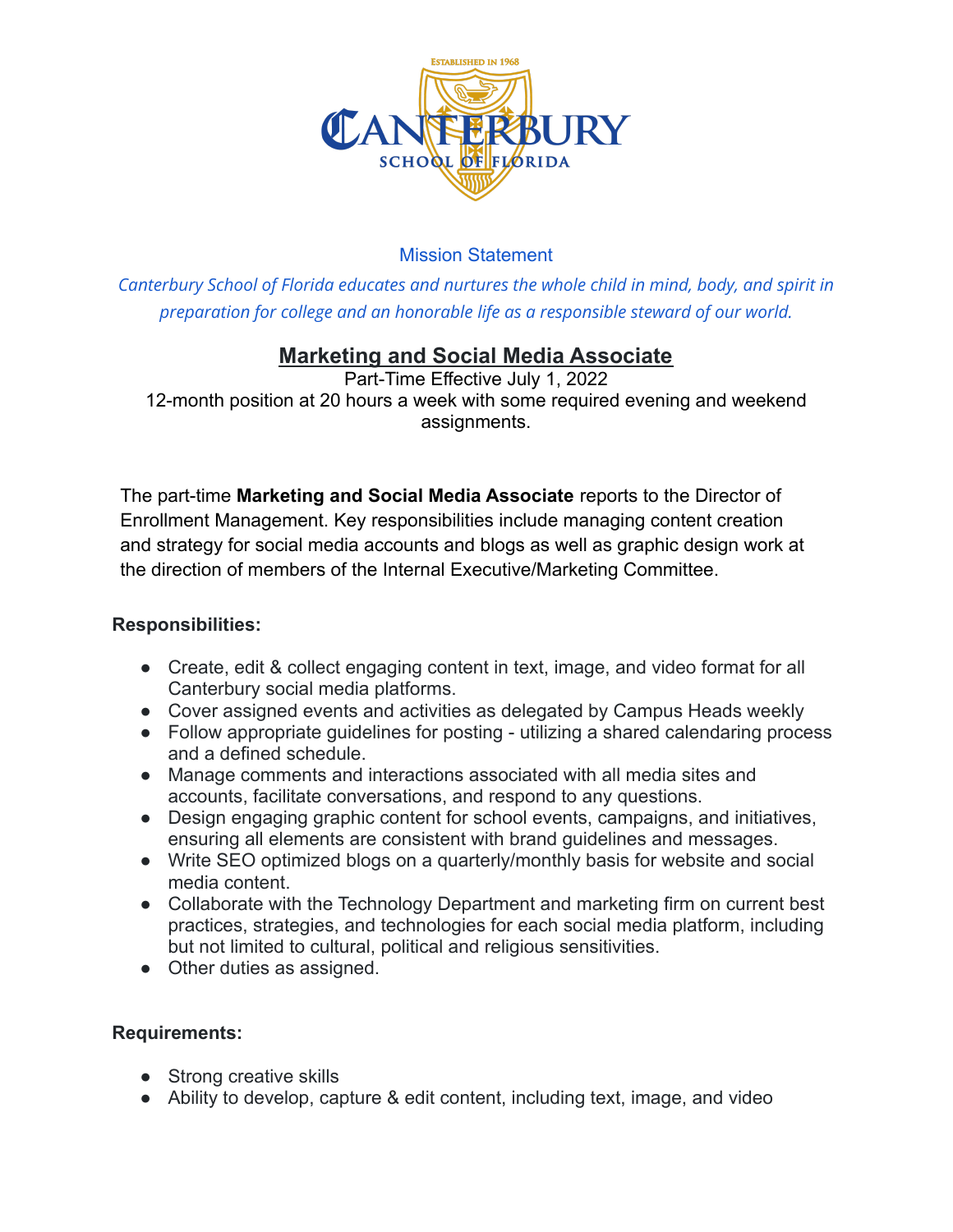

# Mission Statement

*Canterbury School of Florida educates and nurtures the whole child in mind, body, and spirit in preparation for college and an honorable life as a responsible steward of our world.*

# **Marketing and Social Media Associate**

Part-Time Effective July 1, 2022 12-month position at 20 hours a week with some required evening and weekend assignments.

The part-time **Marketing and Social Media Associate** reports to the Director of Enrollment Management. Key responsibilities include managing content creation and strategy for social media accounts and blogs as well as graphic design work at the direction of members of the Internal Executive/Marketing Committee.

### **Responsibilities:**

- Create, edit & collect engaging content in text, image, and video format for all Canterbury social media platforms.
- Cover assigned events and activities as delegated by Campus Heads weekly
- Follow appropriate guidelines for posting utilizing a shared calendaring process and a defined schedule.
- Manage comments and interactions associated with all media sites and accounts, facilitate conversations, and respond to any questions.
- Design engaging graphic content for school events, campaigns, and initiatives, ensuring all elements are consistent with brand guidelines and messages.
- Write SEO optimized blogs on a quarterly/monthly basis for website and social media content.
- Collaborate with the Technology Department and marketing firm on current best practices, strategies, and technologies for each social media platform, including but not limited to cultural, political and religious sensitivities.
- Other duties as assigned.

### **Requirements:**

- Strong creative skills
- Ability to develop, capture & edit content, including text, image, and video